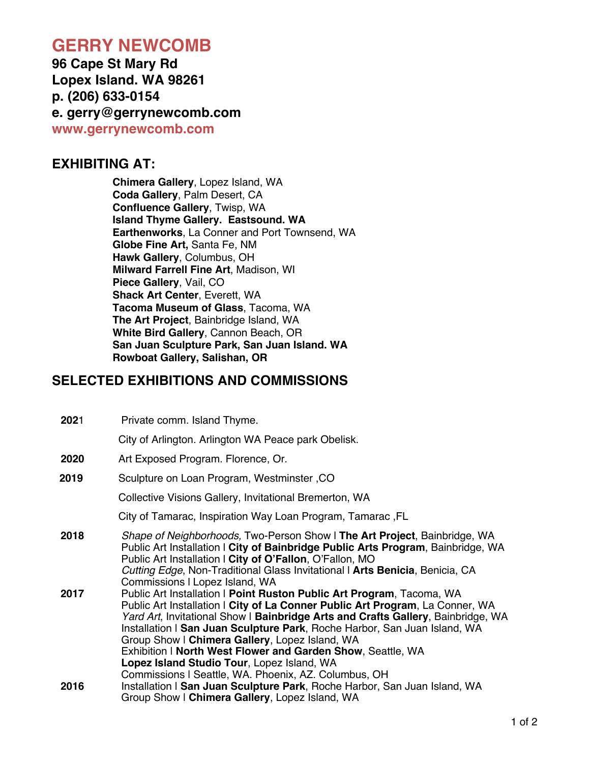# **GERRY NEWCOMB**

**96 Cape St Mary Rd Lopex Island. WA 98261 p. (206) 633-0154 e. gerry@gerrynewcomb.com www.gerrynewcomb.com**

#### **EXHIBITING AT:**

**Chimera Gallery**, Lopez Island, WA **Coda Gallery**, Palm Desert, CA **Confluence Gallery**, Twisp, WA **Island Thyme Gallery. Eastsound. WA Earthenworks**, La Conner and Port Townsend, WA **Globe Fine Art,** Santa Fe, NM **Hawk Gallery**, Columbus, OH **Milward Farrell Fine Art**, Madison, WI **Piece Gallery**, Vail, CO **Shack Art Center**, Everett, WA **Tacoma Museum of Glass**, Tacoma, WA **The Art Project**, Bainbridge Island, WA **White Bird Gallery**, Cannon Beach, OR **San Juan Sculpture Park, San Juan Island. WA Rowboat Gallery, Salishan, OR**

### **SELECTED EXHIBITIONS AND COMMISSIONS**

| 2021 | Private comm. Island Thyme.                                                                                                                                                                                                                                                                                                                                                                                                                                                                                                                    |
|------|------------------------------------------------------------------------------------------------------------------------------------------------------------------------------------------------------------------------------------------------------------------------------------------------------------------------------------------------------------------------------------------------------------------------------------------------------------------------------------------------------------------------------------------------|
|      | City of Arlington. Arlington WA Peace park Obelisk.                                                                                                                                                                                                                                                                                                                                                                                                                                                                                            |
| 2020 | Art Exposed Program. Florence, Or.                                                                                                                                                                                                                                                                                                                                                                                                                                                                                                             |
| 2019 | Sculpture on Loan Program, Westminster, CO                                                                                                                                                                                                                                                                                                                                                                                                                                                                                                     |
|      | Collective Visions Gallery, Invitational Bremerton, WA                                                                                                                                                                                                                                                                                                                                                                                                                                                                                         |
|      | City of Tamarac, Inspiration Way Loan Program, Tamarac, FL                                                                                                                                                                                                                                                                                                                                                                                                                                                                                     |
| 2018 | Shape of Neighborhoods, Two-Person Show I The Art Project, Bainbridge, WA<br>Public Art Installation I City of Bainbridge Public Arts Program, Bainbridge, WA<br>Public Art Installation   City of O'Fallon, O'Fallon, MO<br>Cutting Edge, Non-Traditional Glass Invitational I Arts Benicia, Benicia, CA<br>Commissions I Lopez Island, WA                                                                                                                                                                                                    |
| 2017 | Public Art Installation   Point Ruston Public Art Program, Tacoma, WA<br>Public Art Installation I City of La Conner Public Art Program, La Conner, WA<br>Yard Art, Invitational Show   Bainbridge Arts and Crafts Gallery, Bainbridge, WA<br>Installation I San Juan Sculpture Park, Roche Harbor, San Juan Island, WA<br>Group Show I Chimera Gallery, Lopez Island, WA<br>Exhibition I North West Flower and Garden Show, Seattle, WA<br>Lopez Island Studio Tour, Lopez Island, WA<br>Commissions I Seattle, WA. Phoenix, AZ. Columbus, OH |
| 2016 | Installation I San Juan Sculpture Park, Roche Harbor, San Juan Island, WA<br>Group Show I Chimera Gallery, Lopez Island, WA                                                                                                                                                                                                                                                                                                                                                                                                                    |